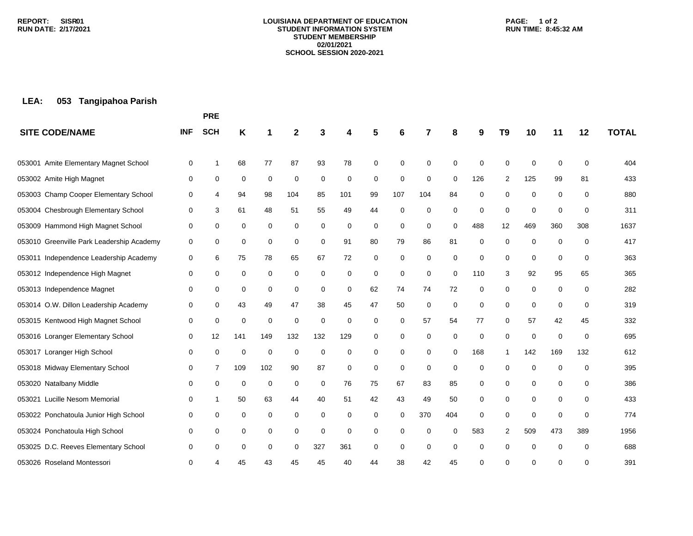#### **LOUISIANA DEPARTMENT OF EDUCATION STUDENT INFORMATION SYSTEM STUDENT MEMBERSHIP 02/01/2021 SCHOOL SESSION 2020-2021**

### **PAGE: 1 of 2 RUN TIME: 8:45:32 AM**

# **LEA: 053 Tangipahoa Parish**

|                                           |            | <b>PRE</b> |     |             |             |          |             |          |             |             |          |     |                |             |     |             |              |
|-------------------------------------------|------------|------------|-----|-------------|-------------|----------|-------------|----------|-------------|-------------|----------|-----|----------------|-------------|-----|-------------|--------------|
| <b>SITE CODE/NAME</b>                     | <b>INF</b> | <b>SCH</b> | Κ   |             | 2           |          |             |          | 6           | 7           | 8        | 9   | T <sub>9</sub> | 10          | 11  | 12          | <b>TOTAL</b> |
| 053001 Amite Elementary Magnet School     | $\Omega$   | 1          | 68  | 77          | 87          | 93       | 78          | 0        | $\mathbf 0$ | 0           | 0        | 0   | $\Omega$       | 0           | 0   | 0           | 404          |
| 053002 Amite High Magnet                  | 0          | 0          | 0   | 0           | 0           | 0        | 0           | 0        | $\mathbf 0$ | 0           | 0        | 126 | 2              | 125         | 99  | 81          | 433          |
| 053003 Champ Cooper Elementary School     | 0          | 4          | 94  | 98          | 104         | 85       | 101         | 99       | 107         | 104         | 84       | 0   | $\mathbf 0$    | 0           | 0   | $\mathbf 0$ | 880          |
| 053004 Chesbrough Elementary School       | 0          | 3          | 61  | 48          | 51          | 55       | 49          | 44       | $\mathbf 0$ | 0           | 0        | 0   | $\mathbf 0$    | 0           | 0   | 0           | 311          |
| 053009 Hammond High Magnet School         | 0          | 0          | 0   | 0           | 0           | 0        | 0           | 0        | 0           | 0           | 0        | 488 | 12             | 469         | 360 | 308         | 1637         |
| 053010 Greenville Park Leadership Academy | 0          | 0          | 0   | 0           | 0           | 0        | 91          | 80       | 79          | 86          | 81       | 0   | $\mathbf 0$    | 0           | 0   | $\mathbf 0$ | 417          |
| 053011 Independence Leadership Academy    | 0          | 6          | 75  | 78          | 65          | 67       | 72          | 0        | $\mathbf 0$ | 0           | 0        | 0   | $\mathbf 0$    | 0           | 0   | $\mathbf 0$ | 363          |
| 053012 Independence High Magnet           | 0          | 0          | 0   | $\mathbf 0$ | $\Omega$    | 0        | 0           | $\Omega$ | $\mathbf 0$ | $\Omega$    | $\Omega$ | 110 | 3              | 92          | 95  | 65          | 365          |
| 053013 Independence Magnet                | 0          | 0          | 0   | 0           | 0           | 0        | 0           | 62       | 74          | 74          | 72       | 0   | 0              | 0           | 0   | 0           | 282          |
| 053014 O.W. Dillon Leadership Academy     | 0          | 0          | 43  | 49          | 47          | 38       | 45          | 47       | 50          | $\mathbf 0$ | 0        | 0   | $\mathbf 0$    | $\mathbf 0$ | 0   | 0           | 319          |
| 053015 Kentwood High Magnet School        | 0          | 0          | 0   | 0           | $\mathbf 0$ | $\Omega$ | $\mathbf 0$ | $\Omega$ | 0           | 57          | 54       | 77  | $\Omega$       | 57          | 42  | 45          | 332          |
| 053016 Loranger Elementary School         | 0          | 12         | 141 | 149         | 132         | 132      | 129         | 0        | 0           | 0           | 0        | 0   | 0              | 0           | 0   | 0           | 695          |
| 053017 Loranger High School               | 0          | 0          | 0   | 0           | $\mathbf 0$ | 0        | 0           | 0        | 0           | 0           | 0        | 168 |                | 142         | 169 | 132         | 612          |
| 053018 Midway Elementary School           | 0          | 7          | 109 | 102         | 90          | 87       | 0           | 0        | 0           | $\mathbf 0$ | 0        | 0   | ∩              | $\mathbf 0$ | 0   | 0           | 395          |
| 053020 Natalbany Middle                   | 0          | 0          | 0   | 0           | 0           | 0        | 76          | 75       | 67          | 83          | 85       | 0   | 0              | 0           | 0   | 0           | 386          |
| Lucille Nesom Memorial<br>053021          | 0          | 1          | 50  | 63          | 44          | 40       | 51          | 42       | 43          | 49          | 50       | 0   | 0              | 0           | 0   | 0           | 433          |
| 053022 Ponchatoula Junior High School     | 0          | 0          | 0   | 0           | 0           | 0        | 0           | 0        | 0           | 370         | 404      | 0   | $\Omega$       | $\mathbf 0$ | 0   | 0           | 774          |
| 053024 Ponchatoula High School            | 0          | 0          | 0   | 0           | 0           | 0        | 0           | 0        | 0           | 0           | $\Omega$ | 583 | 2              | 509         | 473 | 389         | 1956         |
| 053025 D.C. Reeves Elementary School      | 0          | 0          | 0   | 0           | 0           | 327      | 361         | 0        | $\mathbf 0$ | 0           | $\Omega$ | 0   | $\Omega$       | 0           | 0   | $\Omega$    | 688          |
| 053026 Roseland Montessori                | 0          |            | 45  | 43          | 45          | 45       | 40          |          | 38          | 42          | 45       | 0   | U              | ∩           | 0   | $\Omega$    | 391          |